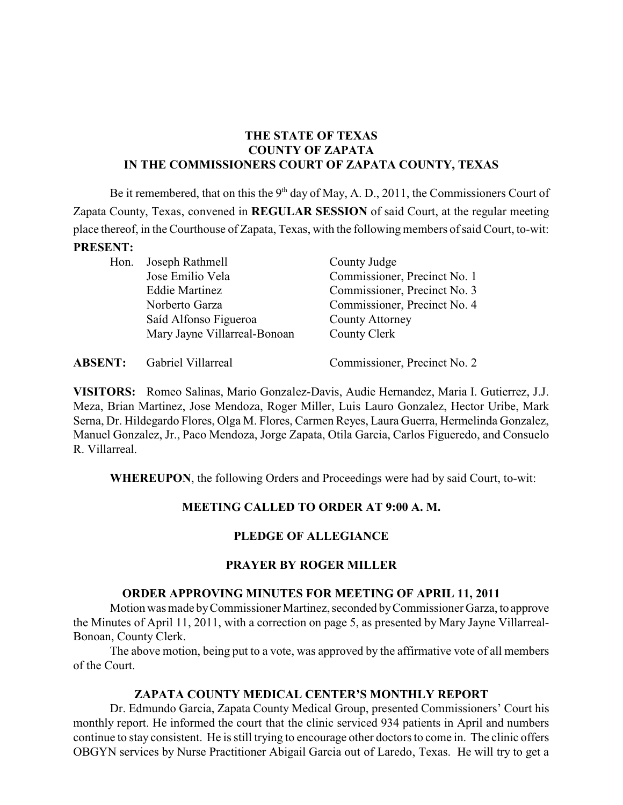# **THE STATE OF TEXAS COUNTY OF ZAPATA IN THE COMMISSIONERS COURT OF ZAPATA COUNTY, TEXAS**

Be it remembered, that on this the  $9<sup>th</sup>$  day of May, A. D., 2011, the Commissioners Court of Zapata County, Texas, convened in **REGULAR SESSION** of said Court, at the regular meeting place thereof, in the Courthouse of Zapata, Texas, with the following members of said Court, to-wit: **PRESENT:**

| Hon. | Joseph Rathmell              | County Judge                 |  |
|------|------------------------------|------------------------------|--|
|      | Jose Emilio Vela             | Commissioner, Precinct No. 1 |  |
|      | <b>Eddie Martinez</b>        | Commissioner, Precinct No. 3 |  |
|      | Norberto Garza               | Commissioner, Precinct No. 4 |  |
|      | Saíd Alfonso Figueroa        | <b>County Attorney</b>       |  |
|      | Mary Jayne Villarreal-Bonoan | County Clerk                 |  |
|      |                              |                              |  |

| Gabriel Villarreal<br><b>ABSENT:</b> | Commissioner, Precinct No. 2 |
|--------------------------------------|------------------------------|
|--------------------------------------|------------------------------|

**VISITORS:** Romeo Salinas, Mario Gonzalez-Davis, Audie Hernandez, Maria I. Gutierrez, J.J. Meza, Brian Martinez, Jose Mendoza, Roger Miller, Luis Lauro Gonzalez, Hector Uribe, Mark Serna, Dr. Hildegardo Flores, Olga M. Flores, Carmen Reyes, Laura Guerra, Hermelinda Gonzalez, Manuel Gonzalez, Jr., Paco Mendoza, Jorge Zapata, Otila Garcia, Carlos Figueredo, and Consuelo R. Villarreal.

**WHEREUPON**, the following Orders and Proceedings were had by said Court, to-wit:

# **MEETING CALLED TO ORDER AT 9:00 A. M.**

# **PLEDGE OF ALLEGIANCE**

# **PRAYER BY ROGER MILLER**

#### **ORDER APPROVING MINUTES FOR MEETING OF APRIL 11, 2011**

Motion was made byCommissioner Martinez, seconded byCommissioner Garza, to approve the Minutes of April 11, 2011, with a correction on page 5, as presented by Mary Jayne Villarreal-Bonoan, County Clerk.

The above motion, being put to a vote, was approved by the affirmative vote of all members of the Court.

# **ZAPATA COUNTY MEDICAL CENTER'S MONTHLY REPORT**

Dr. Edmundo Garcia, Zapata County Medical Group, presented Commissioners' Court his monthly report. He informed the court that the clinic serviced 934 patients in April and numbers continue to stay consistent. He is still trying to encourage other doctors to come in. The clinic offers OBGYN services by Nurse Practitioner Abigail Garcia out of Laredo, Texas. He will try to get a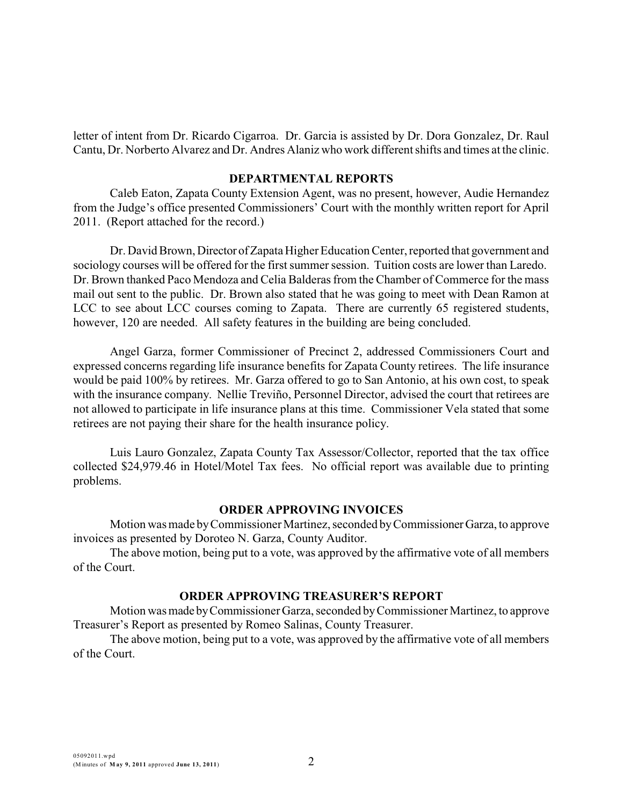letter of intent from Dr. Ricardo Cigarroa. Dr. Garcia is assisted by Dr. Dora Gonzalez, Dr. Raul Cantu, Dr. Norberto Alvarez and Dr. Andres Alaniz who work different shifts and times at the clinic.

#### **DEPARTMENTAL REPORTS**

Caleb Eaton, Zapata County Extension Agent, was no present, however, Audie Hernandez from the Judge's office presented Commissioners' Court with the monthly written report for April 2011. (Report attached for the record.)

Dr. David Brown, Director of Zapata Higher Education Center, reported that government and sociology courses will be offered for the first summer session. Tuition costs are lower than Laredo. Dr. Brown thanked Paco Mendoza and Celia Balderas from the Chamber of Commerce for the mass mail out sent to the public. Dr. Brown also stated that he was going to meet with Dean Ramon at LCC to see about LCC courses coming to Zapata. There are currently 65 registered students, however, 120 are needed. All safety features in the building are being concluded.

Angel Garza, former Commissioner of Precinct 2, addressed Commissioners Court and expressed concerns regarding life insurance benefits for Zapata County retirees. The life insurance would be paid 100% by retirees. Mr. Garza offered to go to San Antonio, at his own cost, to speak with the insurance company. Nellie Treviño, Personnel Director, advised the court that retirees are not allowed to participate in life insurance plans at this time. Commissioner Vela stated that some retirees are not paying their share for the health insurance policy.

Luis Lauro Gonzalez, Zapata County Tax Assessor/Collector, reported that the tax office collected \$24,979.46 in Hotel/Motel Tax fees. No official report was available due to printing problems.

#### **ORDER APPROVING INVOICES**

Motion was made byCommissioner Martinez, seconded byCommissionerGarza, to approve invoices as presented by Doroteo N. Garza, County Auditor.

The above motion, being put to a vote, was approved by the affirmative vote of all members of the Court.

#### **ORDER APPROVING TREASURER'S REPORT**

Motion was made byCommissioner Garza, seconded byCommissioner Martinez, to approve Treasurer's Report as presented by Romeo Salinas, County Treasurer.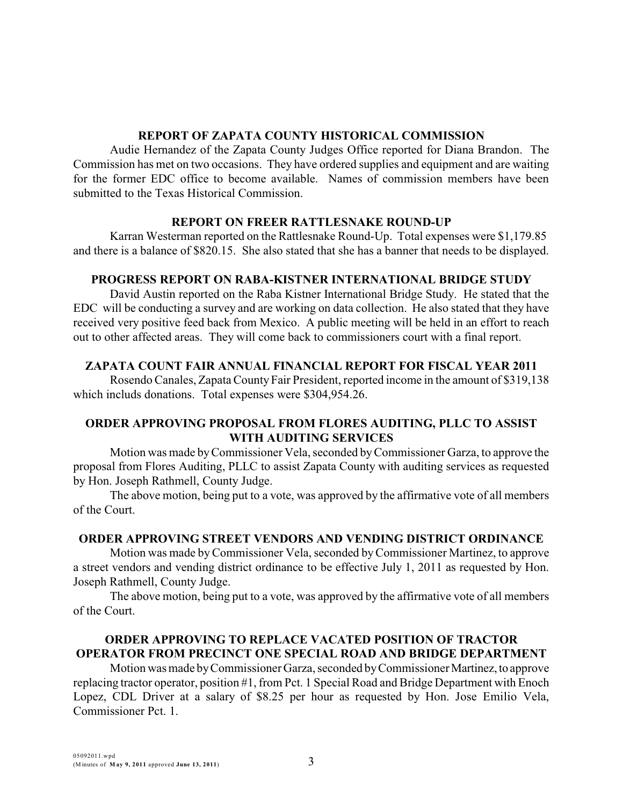#### **REPORT OF ZAPATA COUNTY HISTORICAL COMMISSION**

Audie Hernandez of the Zapata County Judges Office reported for Diana Brandon. The Commission has met on two occasions. They have ordered supplies and equipment and are waiting for the former EDC office to become available. Names of commission members have been submitted to the Texas Historical Commission.

#### **REPORT ON FREER RATTLESNAKE ROUND-UP**

Karran Westerman reported on the Rattlesnake Round-Up. Total expenses were \$1,179.85 and there is a balance of \$820.15. She also stated that she has a banner that needs to be displayed.

# **PROGRESS REPORT ON RABA-KISTNER INTERNATIONAL BRIDGE STUDY**

David Austin reported on the Raba Kistner International Bridge Study. He stated that the EDC will be conducting a survey and are working on data collection. He also stated that they have received very positive feed back from Mexico. A public meeting will be held in an effort to reach out to other affected areas. They will come back to commissioners court with a final report.

# **ZAPATA COUNT FAIR ANNUAL FINANCIAL REPORT FOR FISCAL YEAR 2011**

Rosendo Canales, Zapata County Fair President, reported income in the amount of \$319,138 which includs donations. Total expenses were \$304,954.26.

# **ORDER APPROVING PROPOSAL FROM FLORES AUDITING, PLLC TO ASSIST WITH AUDITING SERVICES**

Motion was made byCommissioner Vela, seconded byCommissioner Garza, to approve the proposal from Flores Auditing, PLLC to assist Zapata County with auditing services as requested by Hon. Joseph Rathmell, County Judge.

The above motion, being put to a vote, was approved by the affirmative vote of all members of the Court.

# **ORDER APPROVING STREET VENDORS AND VENDING DISTRICT ORDINANCE**

Motion was made byCommissioner Vela, seconded byCommissioner Martinez, to approve a street vendors and vending district ordinance to be effective July 1, 2011 as requested by Hon. Joseph Rathmell, County Judge.

The above motion, being put to a vote, was approved by the affirmative vote of all members of the Court.

# **ORDER APPROVING TO REPLACE VACATED POSITION OF TRACTOR OPERATOR FROM PRECINCT ONE SPECIAL ROAD AND BRIDGE DEPARTMENT**

Motion was made by Commissioner Garza, seconded by Commissioner Martinez, to approve replacing tractor operator, position #1, from Pct. 1 Special Road and Bridge Department with Enoch Lopez, CDL Driver at a salary of \$8.25 per hour as requested by Hon. Jose Emilio Vela, Commissioner Pct. 1.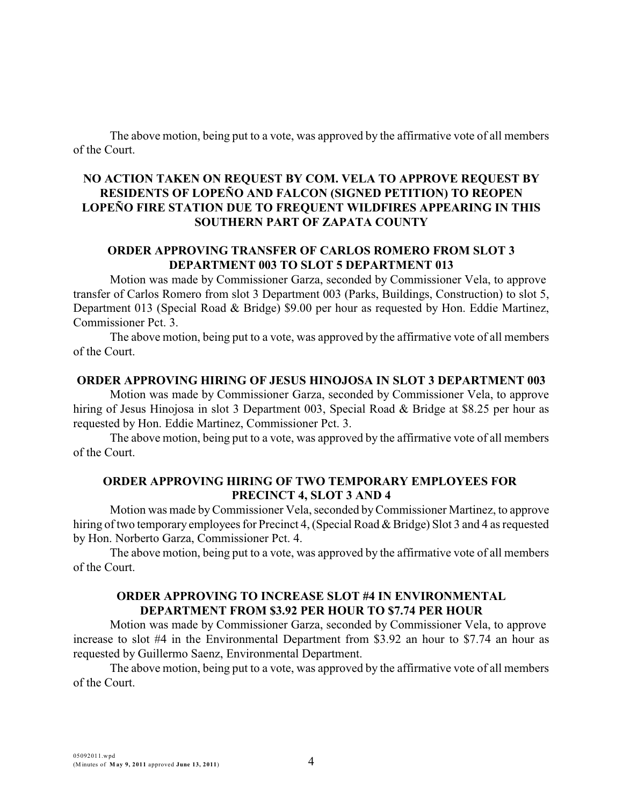The above motion, being put to a vote, was approved by the affirmative vote of all members of the Court.

# **NO ACTION TAKEN ON REQUEST BY COM. VELA TO APPROVE REQUEST BY RESIDENTS OF LOPEÑO AND FALCON (SIGNED PETITION) TO REOPEN LOPEÑO FIRE STATION DUE TO FREQUENT WILDFIRES APPEARING IN THIS SOUTHERN PART OF ZAPATA COUNTY**

# **ORDER APPROVING TRANSFER OF CARLOS ROMERO FROM SLOT 3 DEPARTMENT 003 TO SLOT 5 DEPARTMENT 013**

Motion was made by Commissioner Garza, seconded by Commissioner Vela, to approve transfer of Carlos Romero from slot 3 Department 003 (Parks, Buildings, Construction) to slot 5, Department 013 (Special Road & Bridge) \$9.00 per hour as requested by Hon. Eddie Martinez, Commissioner Pct. 3.

The above motion, being put to a vote, was approved by the affirmative vote of all members of the Court.

#### **ORDER APPROVING HIRING OF JESUS HINOJOSA IN SLOT 3 DEPARTMENT 003**

Motion was made by Commissioner Garza, seconded by Commissioner Vela, to approve hiring of Jesus Hinojosa in slot 3 Department 003, Special Road & Bridge at \$8.25 per hour as requested by Hon. Eddie Martinez, Commissioner Pct. 3.

The above motion, being put to a vote, was approved by the affirmative vote of all members of the Court.

# **ORDER APPROVING HIRING OF TWO TEMPORARY EMPLOYEES FOR PRECINCT 4, SLOT 3 AND 4**

Motion was made byCommissioner Vela, seconded byCommissioner Martinez, to approve hiring of two temporary employees for Precinct 4, (Special Road & Bridge) Slot 3 and 4 as requested by Hon. Norberto Garza, Commissioner Pct. 4.

The above motion, being put to a vote, was approved by the affirmative vote of all members of the Court.

#### **ORDER APPROVING TO INCREASE SLOT #4 IN ENVIRONMENTAL DEPARTMENT FROM \$3.92 PER HOUR TO \$7.74 PER HOUR**

Motion was made by Commissioner Garza, seconded by Commissioner Vela, to approve increase to slot #4 in the Environmental Department from \$3.92 an hour to \$7.74 an hour as requested by Guillermo Saenz, Environmental Department.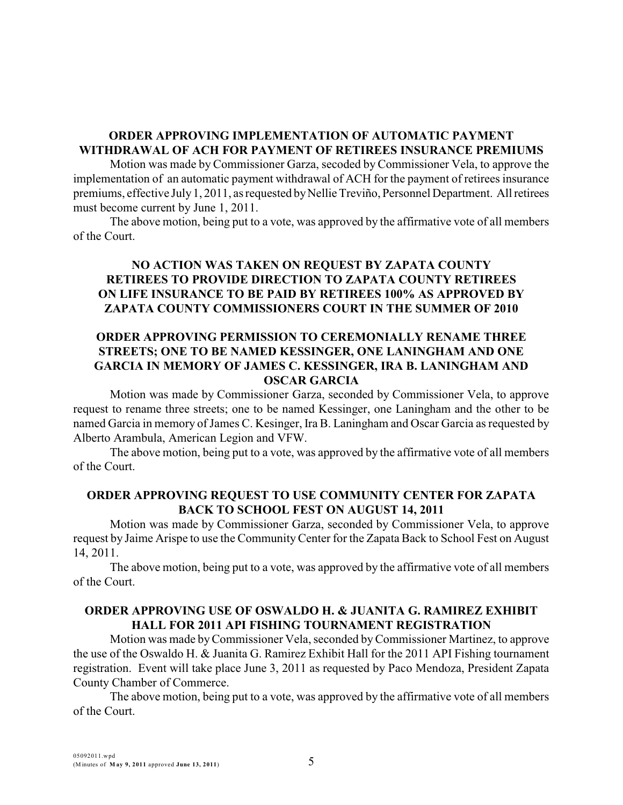# **ORDER APPROVING IMPLEMENTATION OF AUTOMATIC PAYMENT WITHDRAWAL OF ACH FOR PAYMENT OF RETIREES INSURANCE PREMIUMS**

Motion was made by Commissioner Garza, secoded by Commissioner Vela, to approve the implementation of an automatic payment withdrawal of ACH for the payment of retirees insurance premiums, effective July 1, 2011, as requested by Nellie Treviño, Personnel Department. All retirees must become current by June 1, 2011.

The above motion, being put to a vote, was approved by the affirmative vote of all members of the Court.

# **NO ACTION WAS TAKEN ON REQUEST BY ZAPATA COUNTY RETIREES TO PROVIDE DIRECTION TO ZAPATA COUNTY RETIREES ON LIFE INSURANCE TO BE PAID BY RETIREES 100% AS APPROVED BY ZAPATA COUNTY COMMISSIONERS COURT IN THE SUMMER OF 2010**

#### **ORDER APPROVING PERMISSION TO CEREMONIALLY RENAME THREE STREETS; ONE TO BE NAMED KESSINGER, ONE LANINGHAM AND ONE GARCIA IN MEMORY OF JAMES C. KESSINGER, IRA B. LANINGHAM AND OSCAR GARCIA**

Motion was made by Commissioner Garza, seconded by Commissioner Vela, to approve request to rename three streets; one to be named Kessinger, one Laningham and the other to be named Garcia in memory of James C. Kesinger, Ira B. Laningham and Oscar Garcia as requested by Alberto Arambula, American Legion and VFW.

The above motion, being put to a vote, was approved by the affirmative vote of all members of the Court.

#### **ORDER APPROVING REQUEST TO USE COMMUNITY CENTER FOR ZAPATA BACK TO SCHOOL FEST ON AUGUST 14, 2011**

Motion was made by Commissioner Garza, seconded by Commissioner Vela, to approve request by Jaime Arispe to use the CommunityCenter for the Zapata Back to School Fest on August 14, 2011.

The above motion, being put to a vote, was approved by the affirmative vote of all members of the Court.

#### **ORDER APPROVING USE OF OSWALDO H. & JUANITA G. RAMIREZ EXHIBIT HALL FOR 2011 API FISHING TOURNAMENT REGISTRATION**

Motion was made byCommissioner Vela, seconded byCommissioner Martinez, to approve the use of the Oswaldo H. & Juanita G. Ramirez Exhibit Hall for the 2011 API Fishing tournament registration. Event will take place June 3, 2011 as requested by Paco Mendoza, President Zapata County Chamber of Commerce.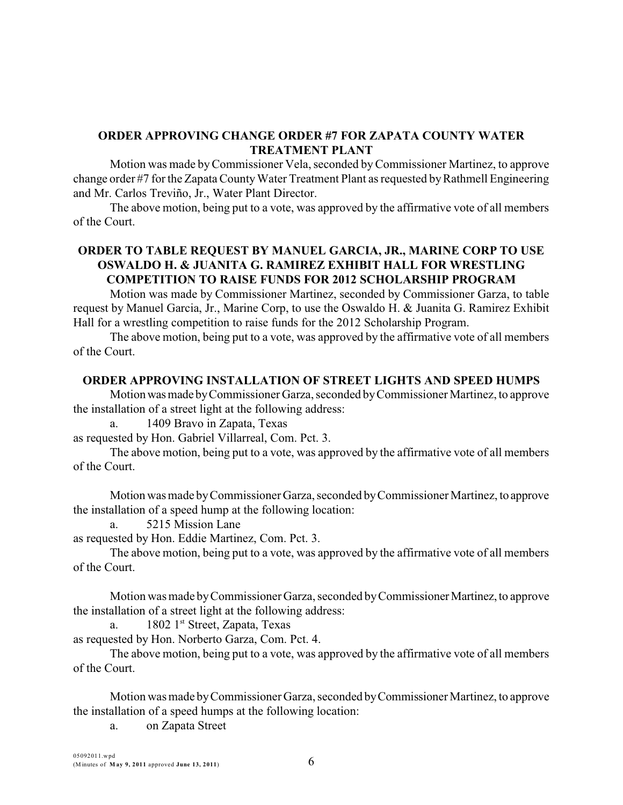# **ORDER APPROVING CHANGE ORDER #7 FOR ZAPATA COUNTY WATER TREATMENT PLANT**

Motion was made byCommissioner Vela, seconded byCommissioner Martinez, to approve change order #7 for the Zapata County Water Treatment Plant as requested by Rathmell Engineering and Mr. Carlos Treviño, Jr., Water Plant Director.

The above motion, being put to a vote, was approved by the affirmative vote of all members of the Court.

# **ORDER TO TABLE REQUEST BY MANUEL GARCIA, JR., MARINE CORP TO USE OSWALDO H. & JUANITA G. RAMIREZ EXHIBIT HALL FOR WRESTLING COMPETITION TO RAISE FUNDS FOR 2012 SCHOLARSHIP PROGRAM**

Motion was made by Commissioner Martinez, seconded by Commissioner Garza, to table request by Manuel Garcia, Jr., Marine Corp, to use the Oswaldo H. & Juanita G. Ramirez Exhibit Hall for a wrestling competition to raise funds for the 2012 Scholarship Program.

The above motion, being put to a vote, was approved by the affirmative vote of all members of the Court.

# **ORDER APPROVING INSTALLATION OF STREET LIGHTS AND SPEED HUMPS**

Motion was made by Commissioner Garza, seconded by Commissioner Martinez, to approve the installation of a street light at the following address:

1409 Bravo in Zapata, Texas

as requested by Hon. Gabriel Villarreal, Com. Pct. 3.

The above motion, being put to a vote, was approved by the affirmative vote of all members of the Court.

Motion was made byCommissioner Garza, seconded byCommissioner Martinez, to approve the installation of a speed hump at the following location:

a. 5215 Mission Lane

as requested by Hon. Eddie Martinez, Com. Pct. 3.

The above motion, being put to a vote, was approved by the affirmative vote of all members of the Court.

Motion was made by Commissioner Garza, seconded by Commissioner Martinez, to approve the installation of a street light at the following address:

a.  $1802 \, 1^{st}$  Street, Zapata, Texas

as requested by Hon. Norberto Garza, Com. Pct. 4.

The above motion, being put to a vote, was approved by the affirmative vote of all members of the Court.

Motion was made byCommissioner Garza, seconded byCommissioner Martinez, to approve the installation of a speed humps at the following location:

a. on Zapata Street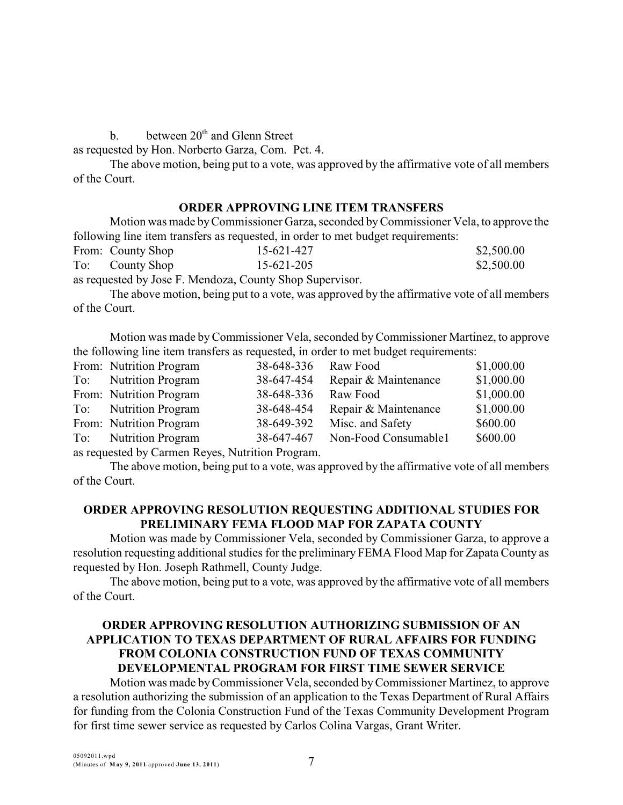b. between  $20<sup>th</sup>$  and Glenn Street

as requested by Hon. Norberto Garza, Com. Pct. 4.

The above motion, being put to a vote, was approved by the affirmative vote of all members of the Court.

#### **ORDER APPROVING LINE ITEM TRANSFERS**

Motion was made byCommissioner Garza, seconded byCommissioner Vela, to approve the following line item transfers as requested, in order to met budget requirements:

|     | From: County Shop | 15-621-427 | \$2,500.00 |
|-----|-------------------|------------|------------|
| To: | County Shop       | 15-621-205 | \$2,500.00 |

as requested by Jose F. Mendoza, County Shop Supervisor.

The above motion, being put to a vote, was approved by the affirmative vote of all members of the Court.

Motion was made byCommissioner Vela, seconded byCommissioner Martinez, to approve the following line item transfers as requested, in order to met budget requirements:

|                                                | From: Nutrition Program | 38-648-336 | Raw Food             | \$1,000.00 |  |  |
|------------------------------------------------|-------------------------|------------|----------------------|------------|--|--|
|                                                | To: Nutrition Program   | 38-647-454 | Repair & Maintenance | \$1,000.00 |  |  |
|                                                | From: Nutrition Program | 38-648-336 | Raw Food             | \$1,000.00 |  |  |
|                                                | To: Nutrition Program   | 38-648-454 | Repair & Maintenance | \$1,000.00 |  |  |
|                                                | From: Nutrition Program | 38-649-392 | Misc. and Safety     | \$600.00   |  |  |
|                                                | To: Nutrition Program   | 38-647-467 | Non-Food Consumable1 | \$600.00   |  |  |
| as requested by Carmen Reves Nutrition Program |                         |            |                      |            |  |  |

as requested by Carmen Reyes, Nutrition Program.

The above motion, being put to a vote, was approved by the affirmative vote of all members of the Court.

# **ORDER APPROVING RESOLUTION REQUESTING ADDITIONAL STUDIES FOR PRELIMINARY FEMA FLOOD MAP FOR ZAPATA COUNTY**

Motion was made by Commissioner Vela, seconded by Commissioner Garza, to approve a resolution requesting additional studies for the preliminary FEMA Flood Map for Zapata County as requested by Hon. Joseph Rathmell, County Judge.

The above motion, being put to a vote, was approved by the affirmative vote of all members of the Court.

# **ORDER APPROVING RESOLUTION AUTHORIZING SUBMISSION OF AN APPLICATION TO TEXAS DEPARTMENT OF RURAL AFFAIRS FOR FUNDING FROM COLONIA CONSTRUCTION FUND OF TEXAS COMMUNITY DEVELOPMENTAL PROGRAM FOR FIRST TIME SEWER SERVICE**

Motion was made byCommissioner Vela, seconded byCommissioner Martinez, to approve a resolution authorizing the submission of an application to the Texas Department of Rural Affairs for funding from the Colonia Construction Fund of the Texas Community Development Program for first time sewer service as requested by Carlos Colina Vargas, Grant Writer.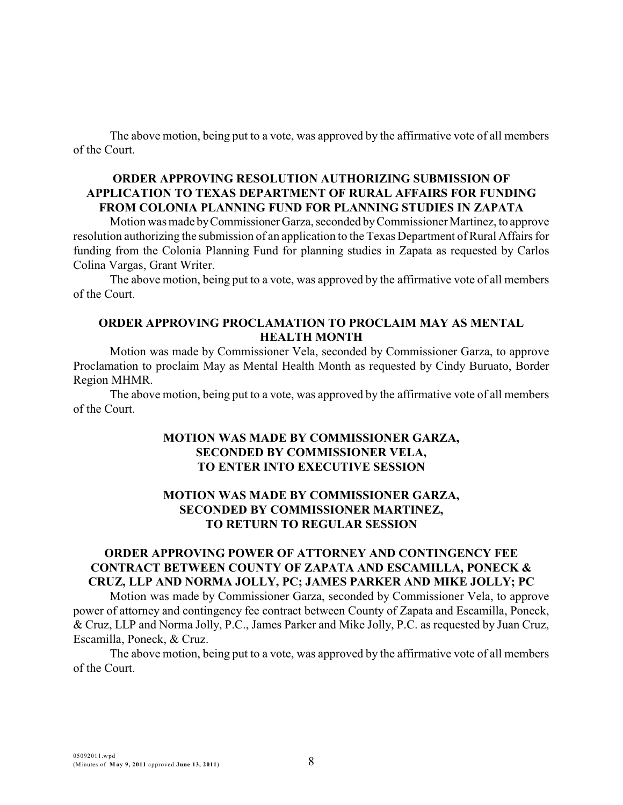The above motion, being put to a vote, was approved by the affirmative vote of all members of the Court.

#### **ORDER APPROVING RESOLUTION AUTHORIZING SUBMISSION OF APPLICATION TO TEXAS DEPARTMENT OF RURAL AFFAIRS FOR FUNDING FROM COLONIA PLANNING FUND FOR PLANNING STUDIES IN ZAPATA**

Motion was made byCommissioner Garza, seconded byCommissioner Martinez, to approve resolution authorizing the submission of an application to the Texas Department of Rural Affairs for funding from the Colonia Planning Fund for planning studies in Zapata as requested by Carlos Colina Vargas, Grant Writer.

The above motion, being put to a vote, was approved by the affirmative vote of all members of the Court.

#### **ORDER APPROVING PROCLAMATION TO PROCLAIM MAY AS MENTAL HEALTH MONTH**

Motion was made by Commissioner Vela, seconded by Commissioner Garza, to approve Proclamation to proclaim May as Mental Health Month as requested by Cindy Buruato, Border Region MHMR.

The above motion, being put to a vote, was approved by the affirmative vote of all members of the Court.

#### **MOTION WAS MADE BY COMMISSIONER GARZA, SECONDED BY COMMISSIONER VELA, TO ENTER INTO EXECUTIVE SESSION**

# **MOTION WAS MADE BY COMMISSIONER GARZA, SECONDED BY COMMISSIONER MARTINEZ, TO RETURN TO REGULAR SESSION**

## **ORDER APPROVING POWER OF ATTORNEY AND CONTINGENCY FEE CONTRACT BETWEEN COUNTY OF ZAPATA AND ESCAMILLA, PONECK & CRUZ, LLP AND NORMA JOLLY, PC; JAMES PARKER AND MIKE JOLLY; PC**

Motion was made by Commissioner Garza, seconded by Commissioner Vela, to approve power of attorney and contingency fee contract between County of Zapata and Escamilla, Poneck, & Cruz, LLP and Norma Jolly, P.C., James Parker and Mike Jolly, P.C. as requested by Juan Cruz, Escamilla, Poneck, & Cruz.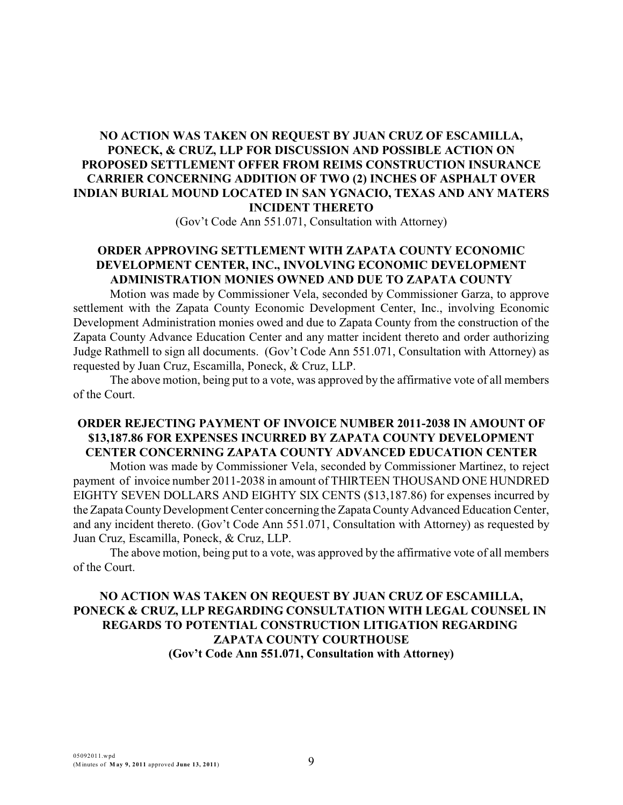# **NO ACTION WAS TAKEN ON REQUEST BY JUAN CRUZ OF ESCAMILLA, PONECK, & CRUZ, LLP FOR DISCUSSION AND POSSIBLE ACTION ON PROPOSED SETTLEMENT OFFER FROM REIMS CONSTRUCTION INSURANCE CARRIER CONCERNING ADDITION OF TWO (2) INCHES OF ASPHALT OVER INDIAN BURIAL MOUND LOCATED IN SAN YGNACIO, TEXAS AND ANY MATERS INCIDENT THERETO**

(Gov't Code Ann 551.071, Consultation with Attorney)

# **ORDER APPROVING SETTLEMENT WITH ZAPATA COUNTY ECONOMIC DEVELOPMENT CENTER, INC., INVOLVING ECONOMIC DEVELOPMENT ADMINISTRATION MONIES OWNED AND DUE TO ZAPATA COUNTY**

Motion was made by Commissioner Vela, seconded by Commissioner Garza, to approve settlement with the Zapata County Economic Development Center, Inc., involving Economic Development Administration monies owed and due to Zapata County from the construction of the Zapata County Advance Education Center and any matter incident thereto and order authorizing Judge Rathmell to sign all documents. (Gov't Code Ann 551.071, Consultation with Attorney) as requested by Juan Cruz, Escamilla, Poneck, & Cruz, LLP.

The above motion, being put to a vote, was approved by the affirmative vote of all members of the Court.

#### **ORDER REJECTING PAYMENT OF INVOICE NUMBER 2011-2038 IN AMOUNT OF \$13,187.86 FOR EXPENSES INCURRED BY ZAPATA COUNTY DEVELOPMENT CENTER CONCERNING ZAPATA COUNTY ADVANCED EDUCATION CENTER**

Motion was made by Commissioner Vela, seconded by Commissioner Martinez, to reject payment of invoice number 2011-2038 in amount of THIRTEEN THOUSAND ONE HUNDRED EIGHTY SEVEN DOLLARS AND EIGHTY SIX CENTS (\$13,187.86) for expenses incurred by the Zapata County Development Center concerning the Zapata County Advanced Education Center, and any incident thereto. (Gov't Code Ann 551.071, Consultation with Attorney) as requested by Juan Cruz, Escamilla, Poneck, & Cruz, LLP.

The above motion, being put to a vote, was approved by the affirmative vote of all members of the Court.

# **NO ACTION WAS TAKEN ON REQUEST BY JUAN CRUZ OF ESCAMILLA, PONECK & CRUZ, LLP REGARDING CONSULTATION WITH LEGAL COUNSEL IN REGARDS TO POTENTIAL CONSTRUCTION LITIGATION REGARDING ZAPATA COUNTY COURTHOUSE (Gov't Code Ann 551.071, Consultation with Attorney)**